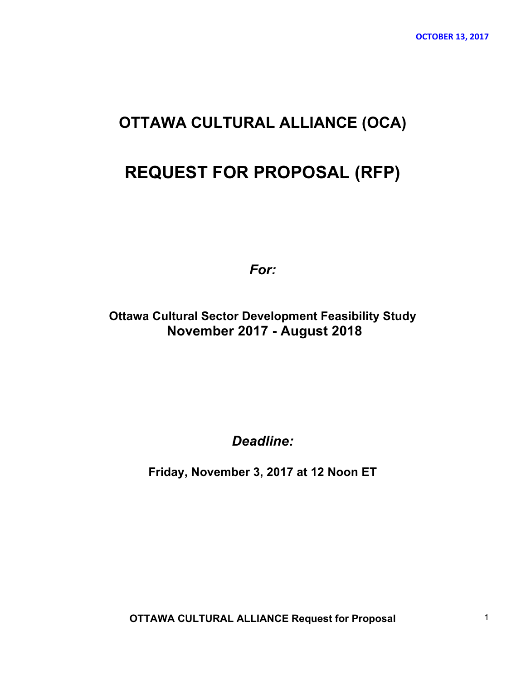## **OTTAWA CULTURAL ALLIANCE (OCA)**

# **REQUEST FOR PROPOSAL (RFP)**

*For:*

**Ottawa Cultural Sector Development Feasibility Study November 2017 - August 2018**

*Deadline:*

**Friday, November 3, 2017 at 12 Noon ET**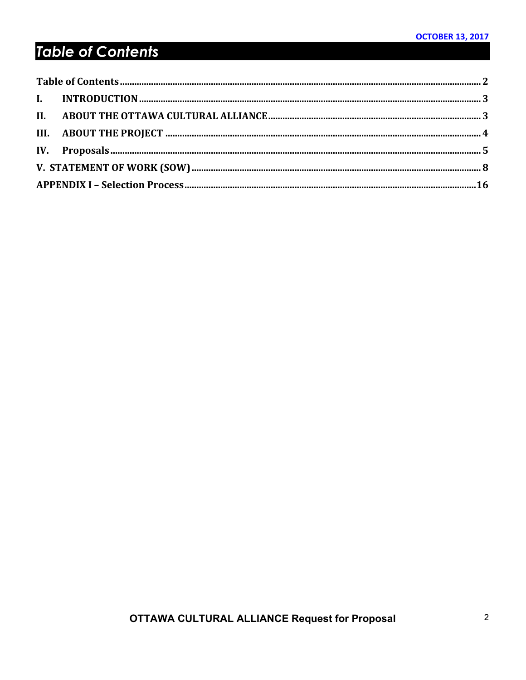# **Table of Contents**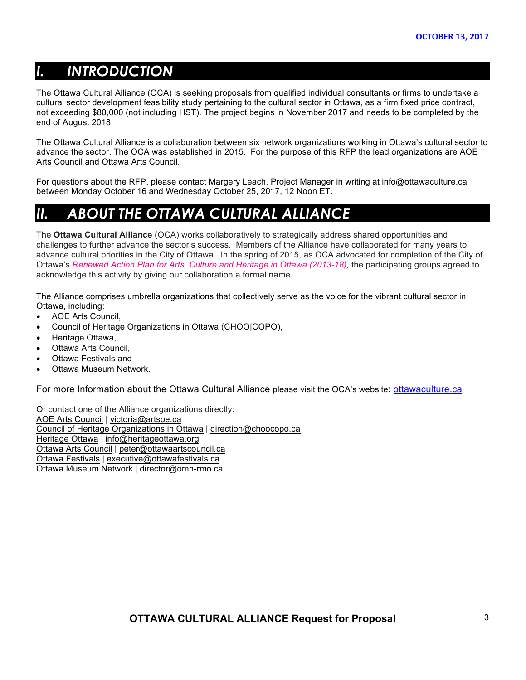## *I. INTRODUCTION*

The Ottawa Cultural Alliance (OCA) is seeking proposals from qualified individual consultants or firms to undertake a cultural sector development feasibility study pertaining to the cultural sector in Ottawa, as a firm fixed price contract, not exceeding \$80,000 (not including HST). The project begins in November 2017 and needs to be completed by the end of August 2018.

The Ottawa Cultural Alliance is a collaboration between six network organizations working in Ottawa's cultural sector to advance the sector. The OCA was established in 2015. For the purpose of this RFP the lead organizations are AOE Arts Council and Ottawa Arts Council.

For questions about the RFP, please contact Margery Leach, Project Manager in writing at info@ottawaculture.ca between Monday October 16 and Wednesday October 25, 2017, 12 Noon ET.

## *II. ABOUT THE OTTAWA CULTURAL ALLIANCE*

The **Ottawa Cultural Alliance** (OCA) works collaboratively to strategically address shared opportunities and challenges to further advance the sector's success. Members of the Alliance have collaborated for many years to advance cultural priorities in the City of Ottawa. In the spring of 2015, as OCA advocated for completion of the City of Ottawa's *Renewed Action Plan for Arts, Culture and Heritage in Ottawa (2013-18),* the participating groups agreed to acknowledge this activity by giving our collaboration a formal name.

The Alliance comprises umbrella organizations that collectively serve as the voice for the vibrant cultural sector in Ottawa, including:

- AOE Arts Council,
- Council of Heritage Organizations in Ottawa (CHOO|COPO),
- Heritage Ottawa,
- Ottawa Arts Council,
- Ottawa Festivals and
- Ottawa Museum Network.

For more Information about the Ottawa Cultural Alliance please visit the OCA's website: ottawaculture.ca

Or contact one of the Alliance organizations directly: AOE Arts Council | victoria@artsoe.ca Council of Heritage Organizations in Ottawa | direction@choocopo.ca Heritage Ottawa | info@heritageottawa.org Ottawa Arts Council | peter@ottawaartscouncil.ca Ottawa Festivals | executive@ottawafestivals.ca Ottawa Museum Network | director@omn-rmo.ca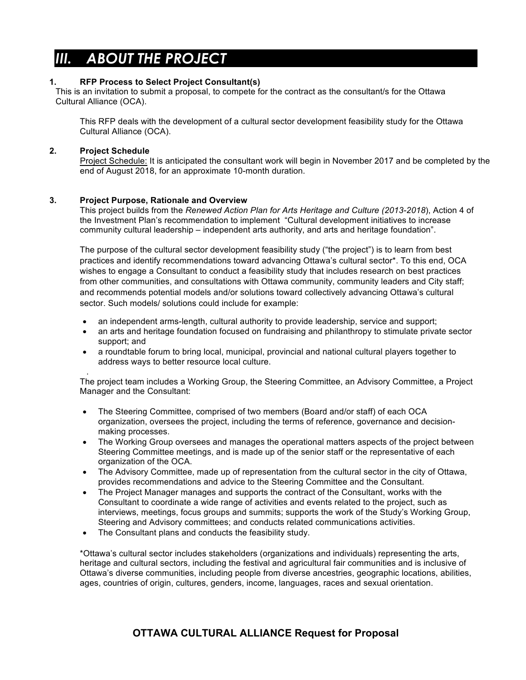# *III. ABOUT THE PROJECT*

#### **1. RFP Process to Select Project Consultant(s)**

This is an invitation to submit a proposal, to compete for the contract as the consultant/s for the Ottawa Cultural Alliance (OCA).

This RFP deals with the development of a cultural sector development feasibility study for the Ottawa Cultural Alliance (OCA).

#### **2. Project Schedule**

Project Schedule: It is anticipated the consultant work will begin in November 2017 and be completed by the end of August 2018, for an approximate 10-month duration.

#### **3. Project Purpose, Rationale and Overview**

This project builds from the *Renewed Action Plan for Arts Heritage and Culture (2013-2018*), Action 4 of the Investment Plan's recommendation to implement "Cultural development initiatives to increase community cultural leadership – independent arts authority, and arts and heritage foundation".

The purpose of the cultural sector development feasibility study ("the project") is to learn from best practices and identify recommendations toward advancing Ottawa's cultural sector\*. To this end, OCA wishes to engage a Consultant to conduct a feasibility study that includes research on best practices from other communities, and consultations with Ottawa community, community leaders and City staff; and recommends potential models and/or solutions toward collectively advancing Ottawa's cultural sector. Such models/ solutions could include for example:

- an independent arms-length, cultural authority to provide leadership, service and support;
- an arts and heritage foundation focused on fundraising and philanthropy to stimulate private sector support; and
- a roundtable forum to bring local, municipal, provincial and national cultural players together to address ways to better resource local culture.

. The project team includes a Working Group, the Steering Committee, an Advisory Committee, a Project Manager and the Consultant:

- The Steering Committee, comprised of two members (Board and/or staff) of each OCA organization, oversees the project, including the terms of reference, governance and decisionmaking processes.
- The Working Group oversees and manages the operational matters aspects of the project between Steering Committee meetings, and is made up of the senior staff or the representative of each organization of the OCA.
- The Advisory Committee, made up of representation from the cultural sector in the city of Ottawa, provides recommendations and advice to the Steering Committee and the Consultant.
- The Project Manager manages and supports the contract of the Consultant, works with the Consultant to coordinate a wide range of activities and events related to the project, such as interviews, meetings, focus groups and summits; supports the work of the Study's Working Group, Steering and Advisory committees; and conducts related communications activities.
- The Consultant plans and conducts the feasibility study.

\*Ottawa's cultural sector includes stakeholders (organizations and individuals) representing the arts, heritage and cultural sectors, including the festival and agricultural fair communities and is inclusive of Ottawa's diverse communities, including people from diverse ancestries, geographic locations, abilities, ages, countries of origin, cultures, genders, income, languages, races and sexual orientation.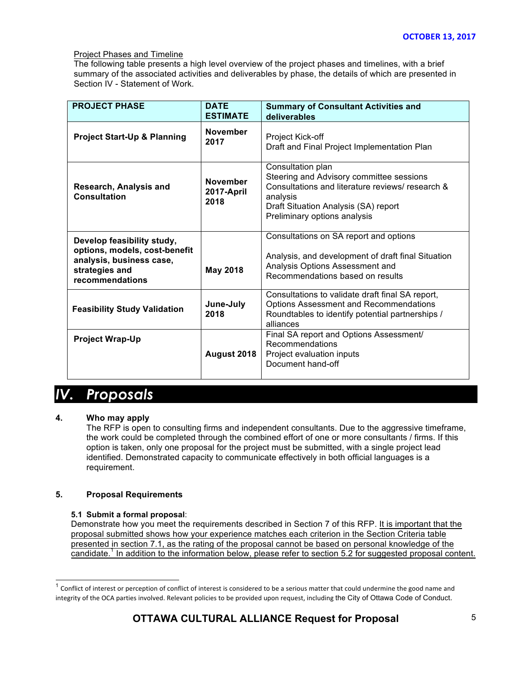#### Project Phases and Timeline

The following table presents a high level overview of the project phases and timelines, with a brief summary of the associated activities and deliverables by phase, the details of which are presented in Section IV - Statement of Work.

| <b>PROJECT PHASE</b>                                                                                                         | <b>DATE</b><br><b>ESTIMATE</b>        | <b>Summary of Consultant Activities and</b><br>deliverables                                                                                                                                           |  |
|------------------------------------------------------------------------------------------------------------------------------|---------------------------------------|-------------------------------------------------------------------------------------------------------------------------------------------------------------------------------------------------------|--|
| <b>Project Start-Up &amp; Planning</b>                                                                                       | <b>November</b><br>2017               | Project Kick-off<br>Draft and Final Project Implementation Plan                                                                                                                                       |  |
| Research, Analysis and<br>Consultation                                                                                       | <b>November</b><br>2017-April<br>2018 | Consultation plan<br>Steering and Advisory committee sessions<br>Consultations and literature reviews/ research &<br>analysis<br>Draft Situation Analysis (SA) report<br>Preliminary options analysis |  |
| Develop feasibility study,<br>options, models, cost-benefit<br>analysis, business case,<br>strategies and<br>recommendations | <b>May 2018</b>                       | Consultations on SA report and options<br>Analysis, and development of draft final Situation<br>Analysis Options Assessment and<br>Recommendations based on results                                   |  |
| <b>Feasibility Study Validation</b>                                                                                          | June-July<br>2018                     | Consultations to validate draft final SA report,<br><b>Options Assessment and Recommendations</b><br>Roundtables to identify potential partnerships /<br>alliances                                    |  |
| <b>Project Wrap-Up</b>                                                                                                       | August 2018                           | Final SA report and Options Assessment/<br>Recommendations<br>Project evaluation inputs<br>Document hand-off                                                                                          |  |

## *IV. Proposals*

#### **4. Who may apply**

The RFP is open to consulting firms and independent consultants. Due to the aggressive timeframe, the work could be completed through the combined effort of one or more consultants / firms. If this option is taken, only one proposal for the project must be submitted, with a single project lead identified. Demonstrated capacity to communicate effectively in both official languages is a requirement.

#### **5. Proposal Requirements**

#### **5.1 Submit a formal proposal**:

Demonstrate how you meet the requirements described in Section 7 of this RFP. It is important that the proposal submitted shows how your experience matches each criterion in the Section Criteria table presented in section 7.1, as the rating of the proposal cannot be based on personal knowledge of the candidate.<sup>1</sup> In addition to the information below, please refer to section 5.2 for suggested proposal content.

 $^1$  Conflict of interest or perception of conflict of interest is considered to be a serious matter that could undermine the good name and integrity of the OCA parties involved. Relevant policies to be provided upon request, including the City of Ottawa Code of Conduct.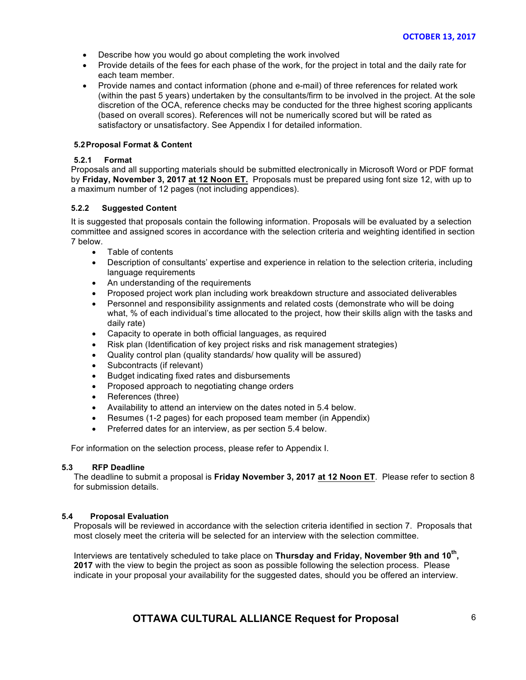- Describe how you would go about completing the work involved
- Provide details of the fees for each phase of the work, for the project in total and the daily rate for each team member.
- Provide names and contact information (phone and e-mail) of three references for related work (within the past 5 years) undertaken by the consultants/firm to be involved in the project. At the sole discretion of the OCA, reference checks may be conducted for the three highest scoring applicants (based on overall scores). References will not be numerically scored but will be rated as satisfactory or unsatisfactory. See Appendix I for detailed information.

#### **5.2Proposal Format & Content**

#### **5.2.1 Format**

Proposals and all supporting materials should be submitted electronically in Microsoft Word or PDF format by **Friday, November 3, 2017 at 12 Noon ET.** Proposals must be prepared using font size 12, with up to a maximum number of 12 pages (not including appendices).

#### **5.2.2 Suggested Content**

It is suggested that proposals contain the following information. Proposals will be evaluated by a selection committee and assigned scores in accordance with the selection criteria and weighting identified in section 7 below.

- Table of contents
- Description of consultants' expertise and experience in relation to the selection criteria, including language requirements
- An understanding of the requirements
- Proposed project work plan including work breakdown structure and associated deliverables
- Personnel and responsibility assignments and related costs (demonstrate who will be doing what, % of each individual's time allocated to the project, how their skills align with the tasks and daily rate)
- Capacity to operate in both official languages, as required
- Risk plan (Identification of key project risks and risk management strategies)
- Quality control plan (quality standards/ how quality will be assured)
- Subcontracts (if relevant)
- Budget indicating fixed rates and disbursements
- Proposed approach to negotiating change orders
- References (three)
- Availability to attend an interview on the dates noted in 5.4 below.
- Resumes (1-2 pages) for each proposed team member (in Appendix)
- Preferred dates for an interview, as per section 5.4 below.

For information on the selection process, please refer to Appendix I.

#### **5.3 RFP Deadline**

The deadline to submit a proposal is **Friday November 3, 2017 at 12 Noon ET**. Please refer to section 8 for submission details.

#### **5.4 Proposal Evaluation**

Proposals will be reviewed in accordance with the selection criteria identified in section 7. Proposals that most closely meet the criteria will be selected for an interview with the selection committee.

Interviews are tentatively scheduled to take place on **Thursday and Friday, November 9th and 10th, 2017** with the view to begin the project as soon as possible following the selection process. Please indicate in your proposal your availability for the suggested dates, should you be offered an interview.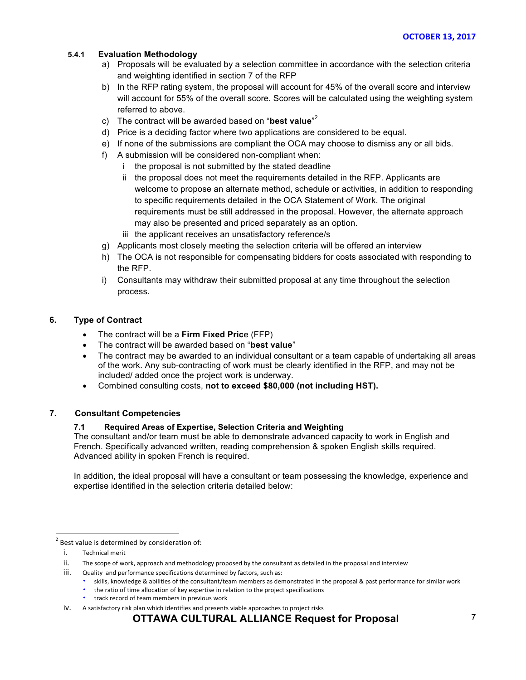#### **5.4.1 Evaluation Methodology**

- a) Proposals will be evaluated by a selection committee in accordance with the selection criteria and weighting identified in section 7 of the RFP
- b) In the RFP rating system, the proposal will account for 45% of the overall score and interview will account for 55% of the overall score. Scores will be calculated using the weighting system referred to above.
- c) The contract will be awarded based on "**best value**" 2
- d) Price is a deciding factor where two applications are considered to be equal.
- e) If none of the submissions are compliant the OCA may choose to dismiss any or all bids.
- f) A submission will be considered non-compliant when:
	- i the proposal is not submitted by the stated deadline
	- ii the proposal does not meet the requirements detailed in the RFP. Applicants are welcome to propose an alternate method, schedule or activities, in addition to responding to specific requirements detailed in the OCA Statement of Work. The original requirements must be still addressed in the proposal. However, the alternate approach may also be presented and priced separately as an option.
	- iii the applicant receives an unsatisfactory reference/s
- g) Applicants most closely meeting the selection criteria will be offered an interview
- h) The OCA is not responsible for compensating bidders for costs associated with responding to the RFP.
- i) Consultants may withdraw their submitted proposal at any time throughout the selection process.

#### **6. Type of Contract**

- The contract will be a **Firm Fixed Pric**e (FFP)
- The contract will be awarded based on "**best value**"
- The contract may be awarded to an individual consultant or a team capable of undertaking all areas of the work. Any sub-contracting of work must be clearly identified in the RFP, and may not be included/ added once the project work is underway.
- Combined consulting costs, **not to exceed \$80,000 (not including HST).**

#### **7. Consultant Competencies**

#### **7.1 Required Areas of Expertise, Selection Criteria and Weighting**

The consultant and/or team must be able to demonstrate advanced capacity to work in English and French. Specifically advanced written, reading comprehension & spoken English skills required. Advanced ability in spoken French is required.

In addition, the ideal proposal will have a consultant or team possessing the knowledge, experience and expertise identified in the selection criteria detailed below:

- track record of team members in previous work
- iv. A satisfactory risk plan which identifies and presents viable approaches to project risks

 $2$  Best value is determined by consideration of:

i. Technical merit

ii. The scope of work, approach and methodology proposed by the consultant as detailed in the proposal and interview

iii. Quality and performance specifications determined by factors, such as:

<sup>\*</sup> skills, knowledge & abilities of the consultant/team members as demonstrated in the proposal & past performance for similar work

the ratio of time allocation of key expertise in relation to the project specifications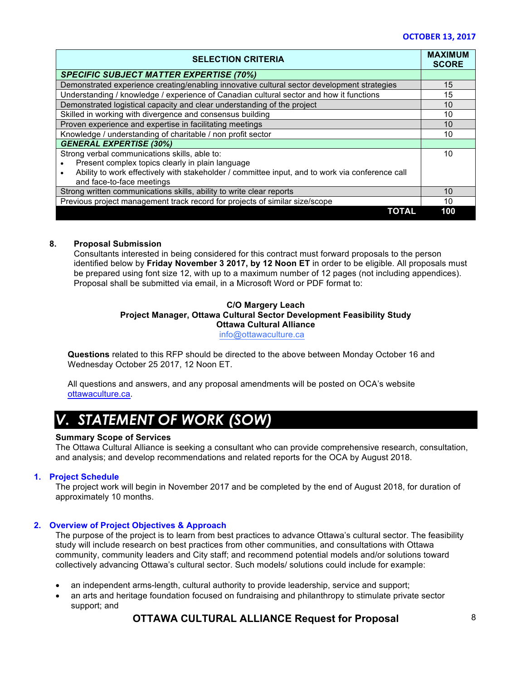| <b>SELECTION CRITERIA</b>                                                                                    |     |  |  |
|--------------------------------------------------------------------------------------------------------------|-----|--|--|
| <b>SPECIFIC SUBJECT MATTER EXPERTISE (70%)</b>                                                               |     |  |  |
| Demonstrated experience creating/enabling innovative cultural sector development strategies                  | 15  |  |  |
| Understanding / knowledge / experience of Canadian cultural sector and how it functions                      | 15  |  |  |
| Demonstrated logistical capacity and clear understanding of the project                                      | 10  |  |  |
| Skilled in working with divergence and consensus building                                                    | 10  |  |  |
| Proven experience and expertise in facilitating meetings                                                     | 10  |  |  |
| Knowledge / understanding of charitable / non profit sector                                                  |     |  |  |
| <b>GENERAL EXPERTISE (30%)</b>                                                                               |     |  |  |
| Strong verbal communications skills, able to:                                                                | 10  |  |  |
| Present complex topics clearly in plain language<br>$\bullet$                                                |     |  |  |
| Ability to work effectively with stakeholder / committee input, and to work via conference call<br>$\bullet$ |     |  |  |
| and face-to-face meetings                                                                                    |     |  |  |
| Strong written communications skills, ability to write clear reports                                         |     |  |  |
| Previous project management track record for projects of similar size/scope                                  | 10  |  |  |
|                                                                                                              | 100 |  |  |

#### **8. Proposal Submission**

Consultants interested in being considered for this contract must forward proposals to the person identified below by **Friday November 3 2017, by 12 Noon ET** in order to be eligible. All proposals must be prepared using font size 12, with up to a maximum number of 12 pages (not including appendices). Proposal shall be submitted via email, in a Microsoft Word or PDF format to:

#### **C/O Margery Leach Project Manager, Ottawa Cultural Sector Development Feasibility Study Ottawa Cultural Alliance** info@ottawaculture.ca

**Questions** related to this RFP should be directed to the above between Monday October 16 and Wednesday October 25 2017, 12 Noon ET.

All questions and answers, and any proposal amendments will be posted on OCA's website ottawaculture.ca.

# *V. STATEMENT OF WORK (SOW)*

#### **Summary Scope of Services**

The Ottawa Cultural Alliance is seeking a consultant who can provide comprehensive research, consultation, and analysis; and develop recommendations and related reports for the OCA by August 2018.

#### **1. Project Schedule**

The project work will begin in November 2017 and be completed by the end of August 2018, for duration of approximately 10 months.

#### **2. Overview of Project Objectives & Approach**

The purpose of the project is to learn from best practices to advance Ottawa's cultural sector. The feasibility study will include research on best practices from other communities, and consultations with Ottawa community, community leaders and City staff; and recommend potential models and/or solutions toward collectively advancing Ottawa's cultural sector. Such models/ solutions could include for example:

- an independent arms-length, cultural authority to provide leadership, service and support;
- an arts and heritage foundation focused on fundraising and philanthropy to stimulate private sector support; and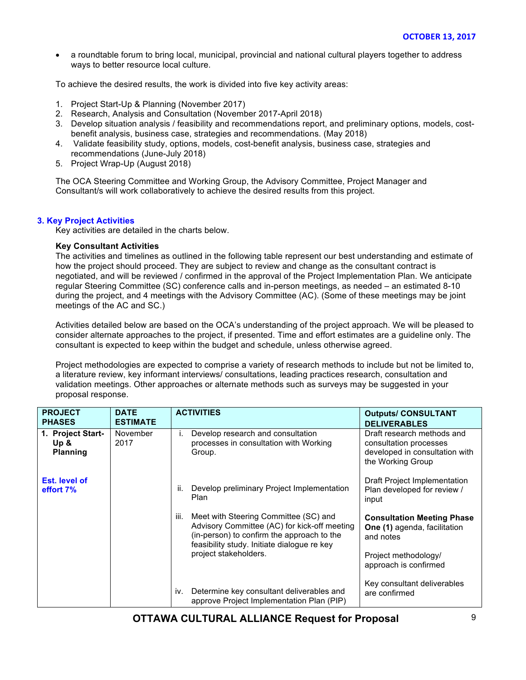• a roundtable forum to bring local, municipal, provincial and national cultural players together to address ways to better resource local culture.

To achieve the desired results, the work is divided into five key activity areas:

- 1. Project Start-Up & Planning (November 2017)
- 2. Research, Analysis and Consultation (November 2017-April 2018)
- 3. Develop situation analysis / feasibility and recommendations report, and preliminary options, models, costbenefit analysis, business case, strategies and recommendations. (May 2018)
- 4. Validate feasibility study, options, models, cost-benefit analysis, business case, strategies and recommendations (June-July 2018)
- 5. Project Wrap-Up (August 2018)

The OCA Steering Committee and Working Group, the Advisory Committee, Project Manager and Consultant/s will work collaboratively to achieve the desired results from this project.

#### **3. Key Project Activities**

Key activities are detailed in the charts below.

#### **Key Consultant Activities**

The activities and timelines as outlined in the following table represent our best understanding and estimate of how the project should proceed. They are subject to review and change as the consultant contract is negotiated, and will be reviewed / confirmed in the approval of the Project Implementation Plan. We anticipate regular Steering Committee (SC) conference calls and in-person meetings, as needed – an estimated 8-10 during the project, and 4 meetings with the Advisory Committee (AC). (Some of these meetings may be joint meetings of the AC and SC.)

Activities detailed below are based on the OCA's understanding of the project approach. We will be pleased to consider alternate approaches to the project, if presented. Time and effort estimates are a guideline only. The consultant is expected to keep within the budget and schedule, unless otherwise agreed.

Project methodologies are expected to comprise a variety of research methods to include but not be limited to, a literature review, key informant interviews/ consultations, leading practices research, consultation and validation meetings. Other approaches or alternate methods such as surveys may be suggested in your proposal response.

| <b>PROJECT</b><br><b>PHASES</b>              | <b>DATE</b><br><b>ESTIMATE</b> | <b>ACTIVITIES</b>                                                                                                                                                                          | <b>Outputs/CONSULTANT</b><br><b>DELIVERABLES</b>                                                            |
|----------------------------------------------|--------------------------------|--------------------------------------------------------------------------------------------------------------------------------------------------------------------------------------------|-------------------------------------------------------------------------------------------------------------|
| 1. Project Start-<br>Up &<br><b>Planning</b> | November<br>2017               | Develop research and consultation<br>i.<br>processes in consultation with Working<br>Group.                                                                                                | Draft research methods and<br>consultation processes<br>developed in consultation with<br>the Working Group |
| Est. level of<br>effort 7%                   |                                | Develop preliminary Project Implementation<br>ii.<br>Plan                                                                                                                                  | <b>Draft Project Implementation</b><br>Plan developed for review /<br>input                                 |
|                                              |                                | Meet with Steering Committee (SC) and<br>iii.<br>Advisory Committee (AC) for kick-off meeting<br>(in-person) to confirm the approach to the<br>feasibility study. Initiate dialogue re key | <b>Consultation Meeting Phase</b><br><b>One (1)</b> agenda, facilitation<br>and notes                       |
|                                              |                                | project stakeholders.                                                                                                                                                                      | Project methodology/<br>approach is confirmed                                                               |
|                                              |                                | Determine key consultant deliverables and<br>iv.<br>approve Project Implementation Plan (PIP)                                                                                              | Key consultant deliverables<br>are confirmed                                                                |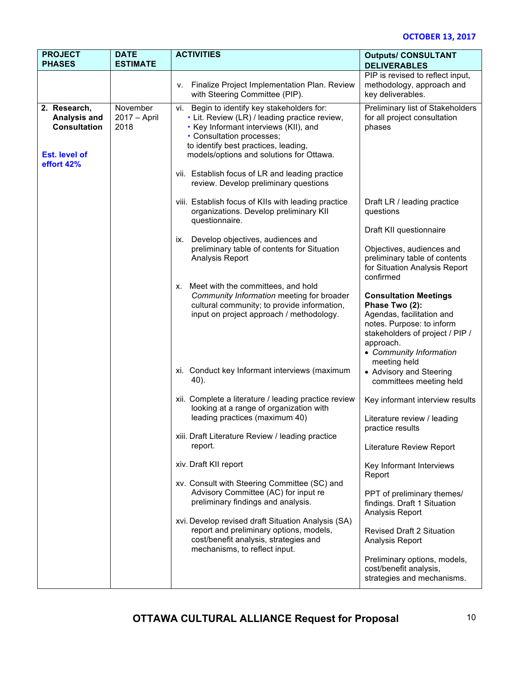| <b>PROJECT</b><br><b>PHASES</b>                                                           | <b>DATE</b><br><b>ESTIMATE</b>   | <b>ACTIVITIES</b>                                                                                                                                                                                                                                                                                                                                     | <b>Outputs/ CONSULTANT</b><br><b>DELIVERABLES</b>                                                                                                                                                   |
|-------------------------------------------------------------------------------------------|----------------------------------|-------------------------------------------------------------------------------------------------------------------------------------------------------------------------------------------------------------------------------------------------------------------------------------------------------------------------------------------------------|-----------------------------------------------------------------------------------------------------------------------------------------------------------------------------------------------------|
|                                                                                           |                                  | Finalize Project Implementation Plan. Review<br>v.<br>with Steering Committee (PIP).                                                                                                                                                                                                                                                                  | PIP is revised to reflect input,<br>methodology, approach and<br>key deliverables.                                                                                                                  |
| 2. Research,<br>Analysis and<br><b>Consultation</b><br><b>Est. level of</b><br>effort 42% | November<br>2017 - April<br>2018 | Begin to identify key stakeholders for:<br>vi.<br>• Lit. Review (LR) / leading practice review,<br>• Key Informant interviews (KII), and<br>• Consultation processes;<br>to identify best practices, leading,<br>models/options and solutions for Ottawa.<br>vii. Establish focus of LR and leading practice<br>review. Develop preliminary questions | Preliminary list of Stakeholders<br>for all project consultation<br>phases                                                                                                                          |
|                                                                                           |                                  | viii. Establish focus of KIIs with leading practice<br>organizations. Develop preliminary KII<br>questionnaire.                                                                                                                                                                                                                                       | Draft LR / leading practice<br>questions<br>Draft KII questionnaire                                                                                                                                 |
|                                                                                           |                                  | Develop objectives, audiences and<br>IX.<br>preliminary table of contents for Situation<br>Analysis Report                                                                                                                                                                                                                                            | Objectives, audiences and<br>preliminary table of contents<br>for Situation Analysis Report<br>confirmed                                                                                            |
|                                                                                           |                                  | x. Meet with the committees, and hold<br>Community Information meeting for broader<br>cultural community; to provide information,<br>input on project approach / methodology.                                                                                                                                                                         | <b>Consultation Meetings</b><br>Phase Two (2):<br>Agendas, facilitation and<br>notes. Purpose: to inform<br>stakeholders of project / PIP /<br>approach.<br>• Community Information<br>meeting held |
|                                                                                           |                                  | xi. Conduct key Informant interviews (maximum<br>40).                                                                                                                                                                                                                                                                                                 | • Advisory and Steering<br>committees meeting held                                                                                                                                                  |
|                                                                                           |                                  | xii. Complete a literature / leading practice review<br>looking at a range of organization with<br>leading practices (maximum 40)<br>xiii. Draft Literature Review / leading practice                                                                                                                                                                 | Key informant interview results<br>Literature review / leading<br>practice results                                                                                                                  |
|                                                                                           |                                  | report.                                                                                                                                                                                                                                                                                                                                               | Literature Review Report                                                                                                                                                                            |
|                                                                                           |                                  | xiv. Draft KII report<br>xv. Consult with Steering Committee (SC) and                                                                                                                                                                                                                                                                                 | Key Informant Interviews<br>Report                                                                                                                                                                  |
|                                                                                           |                                  | Advisory Committee (AC) for input re<br>preliminary findings and analysis.                                                                                                                                                                                                                                                                            | PPT of preliminary themes/<br>findings. Draft 1 Situation<br>Analysis Report                                                                                                                        |
|                                                                                           |                                  | xvi. Develop revised draft Situation Analysis (SA)<br>report and preliminary options, models,<br>cost/benefit analysis, strategies and<br>mechanisms, to reflect input.                                                                                                                                                                               | <b>Revised Draft 2 Situation</b><br>Analysis Report                                                                                                                                                 |
|                                                                                           |                                  |                                                                                                                                                                                                                                                                                                                                                       | Preliminary options, models,<br>cost/benefit analysis,<br>strategies and mechanisms.                                                                                                                |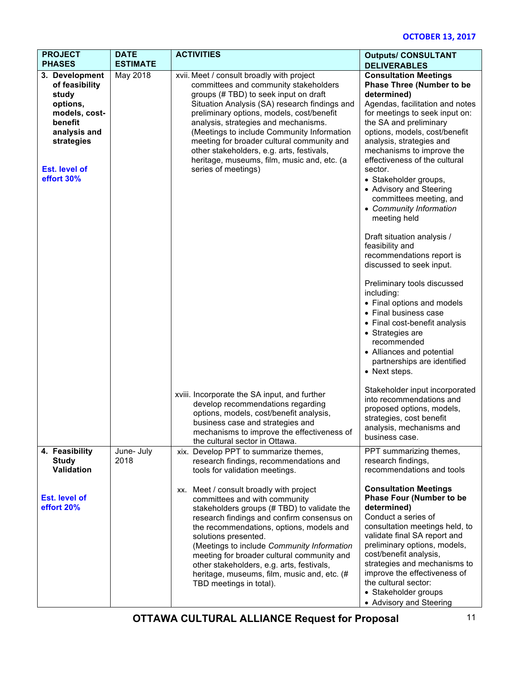| <b>PROJECT</b>                                                                                                                                                         | <b>DATE</b>                 | <b>ACTIVITIES</b>                                                                                                                                                                                                                                                                                                                                                                                                                                                                | <b>Outputs/ CONSULTANT</b>                                                                                                                                                                                                                                                                                                                                                                                                                                                                                                                                                                                                                                                                                                                                                                                                           |
|------------------------------------------------------------------------------------------------------------------------------------------------------------------------|-----------------------------|----------------------------------------------------------------------------------------------------------------------------------------------------------------------------------------------------------------------------------------------------------------------------------------------------------------------------------------------------------------------------------------------------------------------------------------------------------------------------------|--------------------------------------------------------------------------------------------------------------------------------------------------------------------------------------------------------------------------------------------------------------------------------------------------------------------------------------------------------------------------------------------------------------------------------------------------------------------------------------------------------------------------------------------------------------------------------------------------------------------------------------------------------------------------------------------------------------------------------------------------------------------------------------------------------------------------------------|
| <b>PHASES</b><br>3. Development<br>of feasibility<br>study<br>options,<br>models, cost-<br>benefit<br>analysis and<br>strategies<br><b>Est. level of</b><br>effort 30% | <b>ESTIMATE</b><br>May 2018 | xvii. Meet / consult broadly with project<br>committees and community stakeholders<br>groups (# TBD) to seek input on draft<br>Situation Analysis (SA) research findings and<br>preliminary options, models, cost/benefit<br>analysis, strategies and mechanisms.<br>(Meetings to include Community Information<br>meeting for broader cultural community and<br>other stakeholders, e.g. arts, festivals,<br>heritage, museums, film, music and, etc. (a<br>series of meetings) | <b>DELIVERABLES</b><br><b>Consultation Meetings</b><br><b>Phase Three (Number to be</b><br>determined)<br>Agendas, facilitation and notes<br>for meetings to seek input on:<br>the SA and preliminary<br>options, models, cost/benefit<br>analysis, strategies and<br>mechanisms to improve the<br>effectiveness of the cultural<br>sector.<br>• Stakeholder groups,<br>• Advisory and Steering<br>committees meeting, and<br>• Community Information<br>meeting held<br>Draft situation analysis /<br>feasibility and<br>recommendations report is<br>discussed to seek input.<br>Preliminary tools discussed<br>including:<br>• Final options and models<br>• Final business case<br>• Final cost-benefit analysis<br>• Strategies are<br>recommended<br>• Alliances and potential<br>partnerships are identified<br>• Next steps. |
|                                                                                                                                                                        |                             | xviii. Incorporate the SA input, and further<br>develop recommendations regarding<br>options, models, cost/benefit analysis,<br>business case and strategies and<br>mechanisms to improve the effectiveness of<br>the cultural sector in Ottawa.                                                                                                                                                                                                                                 | Stakeholder input incorporated<br>into recommendations and<br>proposed options, models,<br>strategies, cost benefit<br>analysis, mechanisms and<br>business case.                                                                                                                                                                                                                                                                                                                                                                                                                                                                                                                                                                                                                                                                    |
| 4. Feasibility<br><b>Study</b><br>Validation                                                                                                                           | June- July<br>2018          | xix. Develop PPT to summarize themes,<br>research findings, recommendations and<br>tools for validation meetings.                                                                                                                                                                                                                                                                                                                                                                | PPT summarizing themes,<br>research findings,<br>recommendations and tools                                                                                                                                                                                                                                                                                                                                                                                                                                                                                                                                                                                                                                                                                                                                                           |
| <b>Est. level of</b><br>effort 20%                                                                                                                                     |                             | xx. Meet / consult broadly with project<br>committees and with community<br>stakeholders groups (# TBD) to validate the<br>research findings and confirm consensus on<br>the recommendations, options, models and<br>solutions presented.<br>(Meetings to include Community Information<br>meeting for broader cultural community and<br>other stakeholders, e.g. arts, festivals,<br>heritage, museums, film, music and, etc. (#<br>TBD meetings in total).                     | <b>Consultation Meetings</b><br><b>Phase Four (Number to be</b><br>determined)<br>Conduct a series of<br>consultation meetings held, to<br>validate final SA report and<br>preliminary options, models,<br>cost/benefit analysis,<br>strategies and mechanisms to<br>improve the effectiveness of<br>the cultural sector:<br>• Stakeholder groups<br>• Advisory and Steering                                                                                                                                                                                                                                                                                                                                                                                                                                                         |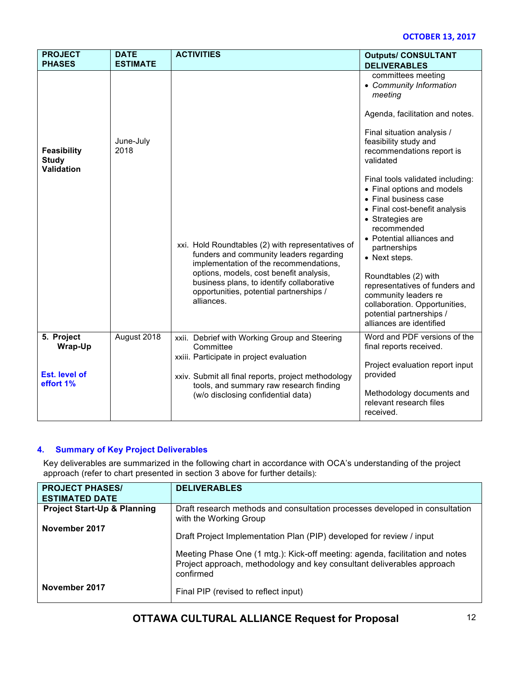| <b>PROJECT</b><br><b>PHASES</b>                         | <b>DATE</b><br><b>ESTIMATE</b>                                                                                                       | <b>ACTIVITIES</b>                                                                                                                                                                                                                                                                       | <b>Outputs/ CONSULTANT</b><br><b>DELIVERABLES</b>                                                                                                                                                                                                                                                                                                                                                    |
|---------------------------------------------------------|--------------------------------------------------------------------------------------------------------------------------------------|-----------------------------------------------------------------------------------------------------------------------------------------------------------------------------------------------------------------------------------------------------------------------------------------|------------------------------------------------------------------------------------------------------------------------------------------------------------------------------------------------------------------------------------------------------------------------------------------------------------------------------------------------------------------------------------------------------|
|                                                         |                                                                                                                                      |                                                                                                                                                                                                                                                                                         | committees meeting<br>• Community Information<br>meeting                                                                                                                                                                                                                                                                                                                                             |
| <b>Feasibility</b><br><b>Study</b><br><b>Validation</b> | June-July<br>2018                                                                                                                    |                                                                                                                                                                                                                                                                                         | Agenda, facilitation and notes.<br>Final situation analysis /<br>feasibility study and<br>recommendations report is<br>validated                                                                                                                                                                                                                                                                     |
|                                                         |                                                                                                                                      | xxi. Hold Roundtables (2) with representatives of<br>funders and community leaders regarding<br>implementation of the recommendations,<br>options, models, cost benefit analysis,<br>business plans, to identify collaborative<br>opportunities, potential partnerships /<br>alliances. | Final tools validated including:<br>• Final options and models<br>• Final business case<br>• Final cost-benefit analysis<br>• Strategies are<br>recommended<br>• Potential alliances and<br>partnerships<br>• Next steps.<br>Roundtables (2) with<br>representatives of funders and<br>community leaders re<br>collaboration. Opportunities,<br>potential partnerships /<br>alliances are identified |
| 5. Project<br>Wrap-Up                                   | August 2018                                                                                                                          | xxii. Debrief with Working Group and Steering<br>Committee<br>xxiii. Participate in project evaluation                                                                                                                                                                                  | Word and PDF versions of the<br>final reports received.                                                                                                                                                                                                                                                                                                                                              |
| <b>Est. level of</b><br>effort 1%                       | xxiv. Submit all final reports, project methodology<br>tools, and summary raw research finding<br>(w/o disclosing confidential data) |                                                                                                                                                                                                                                                                                         | Project evaluation report input<br>provided<br>Methodology documents and<br>relevant research files<br>received.                                                                                                                                                                                                                                                                                     |

### **4. Summary of Key Project Deliverables**

Key deliverables are summarized in the following chart in accordance with OCA's understanding of the project approach (refer to chart presented in section 3 above for further details):

| <b>PROJECT PHASES/</b>                 | <b>DELIVERABLES</b>                                                                                                                                                 |
|----------------------------------------|---------------------------------------------------------------------------------------------------------------------------------------------------------------------|
| <b>ESTIMATED DATE</b>                  |                                                                                                                                                                     |
| <b>Project Start-Up &amp; Planning</b> | Draft research methods and consultation processes developed in consultation<br>with the Working Group                                                               |
| November 2017                          | Draft Project Implementation Plan (PIP) developed for review / input                                                                                                |
|                                        | Meeting Phase One (1 mtg.): Kick-off meeting: agenda, facilitation and notes<br>Project approach, methodology and key consultant deliverables approach<br>confirmed |
| November 2017                          | Final PIP (revised to reflect input)                                                                                                                                |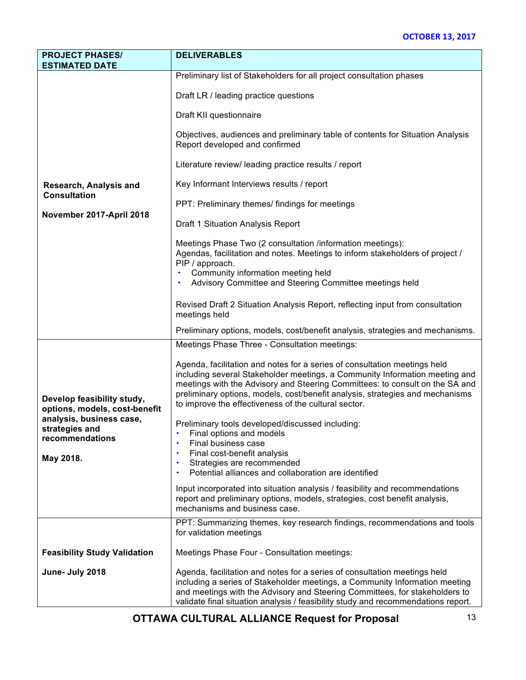| <b>PROJECT PHASES/</b>                                      | <b>DELIVERABLES</b>                                                                                                                                                                                                                                                                                                                                                               |  |  |  |
|-------------------------------------------------------------|-----------------------------------------------------------------------------------------------------------------------------------------------------------------------------------------------------------------------------------------------------------------------------------------------------------------------------------------------------------------------------------|--|--|--|
| <b>ESTIMATED DATE</b>                                       |                                                                                                                                                                                                                                                                                                                                                                                   |  |  |  |
|                                                             | Preliminary list of Stakeholders for all project consultation phases                                                                                                                                                                                                                                                                                                              |  |  |  |
|                                                             | Draft LR / leading practice questions                                                                                                                                                                                                                                                                                                                                             |  |  |  |
|                                                             | Draft KII questionnaire                                                                                                                                                                                                                                                                                                                                                           |  |  |  |
|                                                             | Objectives, audiences and preliminary table of contents for Situation Analysis<br>Report developed and confirmed                                                                                                                                                                                                                                                                  |  |  |  |
|                                                             | Literature review/ leading practice results / report                                                                                                                                                                                                                                                                                                                              |  |  |  |
| Research, Analysis and                                      | Key Informant Interviews results / report                                                                                                                                                                                                                                                                                                                                         |  |  |  |
| <b>Consultation</b>                                         | PPT: Preliminary themes/ findings for meetings                                                                                                                                                                                                                                                                                                                                    |  |  |  |
| November 2017-April 2018                                    | Draft 1 Situation Analysis Report                                                                                                                                                                                                                                                                                                                                                 |  |  |  |
|                                                             | Meetings Phase Two (2 consultation /information meetings):<br>Agendas, facilitation and notes. Meetings to inform stakeholders of project /<br>PIP / approach.<br>Community information meeting held<br>Advisory Committee and Steering Committee meetings held                                                                                                                   |  |  |  |
|                                                             | Revised Draft 2 Situation Analysis Report, reflecting input from consultation<br>meetings held                                                                                                                                                                                                                                                                                    |  |  |  |
|                                                             | Preliminary options, models, cost/benefit analysis, strategies and mechanisms.                                                                                                                                                                                                                                                                                                    |  |  |  |
|                                                             | Meetings Phase Three - Consultation meetings:                                                                                                                                                                                                                                                                                                                                     |  |  |  |
| Develop feasibility study,<br>options, models, cost-benefit | Agenda, facilitation and notes for a series of consultation meetings held<br>including several Stakeholder meetings, a Community Information meeting and<br>meetings with the Advisory and Steering Committees: to consult on the SA and<br>preliminary options, models, cost/benefit analysis, strategies and mechanisms<br>to improve the effectiveness of the cultural sector. |  |  |  |
| analysis, business case,<br>strategies and                  | Preliminary tools developed/discussed including:                                                                                                                                                                                                                                                                                                                                  |  |  |  |
| recommendations                                             | Final options and models                                                                                                                                                                                                                                                                                                                                                          |  |  |  |
|                                                             | Final business case<br>Final cost-benefit analysis                                                                                                                                                                                                                                                                                                                                |  |  |  |
| May 2018.                                                   | Strategies are recommended                                                                                                                                                                                                                                                                                                                                                        |  |  |  |
|                                                             | Potential alliances and collaboration are identified                                                                                                                                                                                                                                                                                                                              |  |  |  |
|                                                             | Input incorporated into situation analysis / feasibility and recommendations<br>report and preliminary options, models, strategies, cost benefit analysis,<br>mechanisms and business case.                                                                                                                                                                                       |  |  |  |
|                                                             | PPT: Summarizing themes, key research findings, recommendations and tools<br>for validation meetings                                                                                                                                                                                                                                                                              |  |  |  |
| <b>Feasibility Study Validation</b>                         | Meetings Phase Four - Consultation meetings:                                                                                                                                                                                                                                                                                                                                      |  |  |  |
| June- July 2018                                             | Agenda, facilitation and notes for a series of consultation meetings held<br>including a series of Stakeholder meetings, a Community Information meeting<br>and meetings with the Advisory and Steering Committees, for stakeholders to<br>validate final situation analysis / feasibility study and recommendations report.                                                      |  |  |  |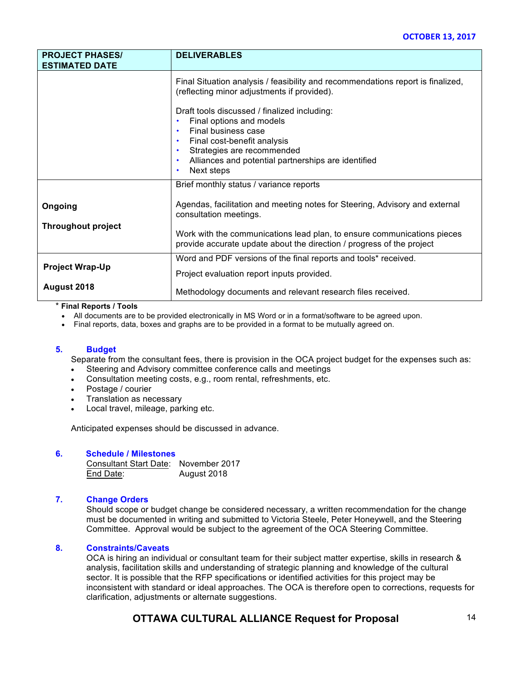| <b>PROJECT PHASES/</b><br><b>ESTIMATED DATE</b> | <b>DELIVERABLES</b>                                                                                                                                   |
|-------------------------------------------------|-------------------------------------------------------------------------------------------------------------------------------------------------------|
|                                                 | Final Situation analysis / feasibility and recommendations report is finalized,<br>(reflecting minor adjustments if provided).                        |
|                                                 | Draft tools discussed / finalized including:<br>Final options and models<br>٠<br>Final business case<br>$\bullet$<br>Final cost-benefit analysis<br>٠ |
|                                                 | Strategies are recommended<br>$\bullet$<br>Alliances and potential partnerships are identified<br>٠<br>Next steps<br>$\bullet$                        |
|                                                 | Brief monthly status / variance reports                                                                                                               |
| Ongoing                                         | Agendas, facilitation and meeting notes for Steering, Advisory and external<br>consultation meetings.                                                 |
| <b>Throughout project</b>                       | Work with the communications lead plan, to ensure communications pieces<br>provide accurate update about the direction / progress of the project      |
| <b>Project Wrap-Up</b>                          | Word and PDF versions of the final reports and tools* received.                                                                                       |
|                                                 | Project evaluation report inputs provided.                                                                                                            |
| August 2018                                     | Methodology documents and relevant research files received.                                                                                           |

#### \* **Final Reports / Tools**

• All documents are to be provided electronically in MS Word or in a format/software to be agreed upon.

• Final reports, data, boxes and graphs are to be provided in a format to be mutually agreed on.

#### **5. Budget**

Separate from the consultant fees, there is provision in the OCA project budget for the expenses such as:

- Steering and Advisory committee conference calls and meetings
- Consultation meeting costs, e.g., room rental, refreshments, etc.
- Postage / courier
- Translation as necessary
- Local travel, mileage, parking etc.

Anticipated expenses should be discussed in advance.

#### **6. Schedule / Milestones**

Consultant Start Date: November 2017 End Date: August 2018

#### **7. Change Orders**

Should scope or budget change be considered necessary, a written recommendation for the change must be documented in writing and submitted to Victoria Steele, Peter Honeywell, and the Steering Committee. Approval would be subject to the agreement of the OCA Steering Committee.

#### **8. Constraints/Caveats**

OCA is hiring an individual or consultant team for their subject matter expertise, skills in research & analysis, facilitation skills and understanding of strategic planning and knowledge of the cultural sector. It is possible that the RFP specifications or identified activities for this project may be inconsistent with standard or ideal approaches. The OCA is therefore open to corrections, requests for clarification, adjustments or alternate suggestions.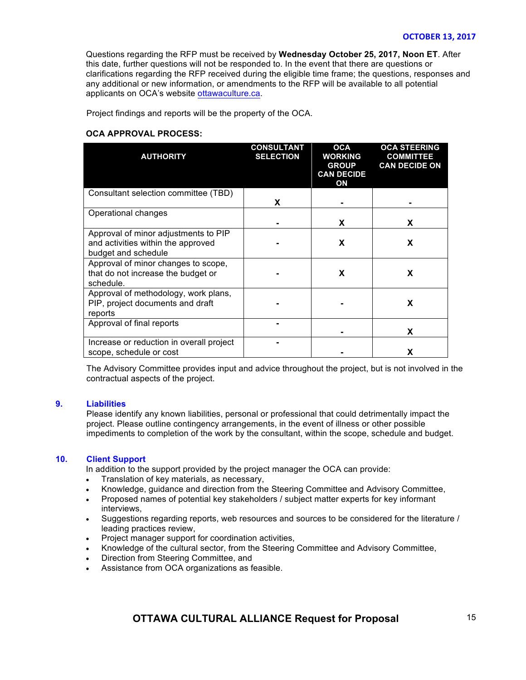Questions regarding the RFP must be received by **Wednesday October 25, 2017, Noon ET**. After this date, further questions will not be responded to. In the event that there are questions or clarifications regarding the RFP received during the eligible time frame; the questions, responses and any additional or new information, or amendments to the RFP will be available to all potential applicants on OCA's website ottawaculture.ca.

Project findings and reports will be the property of the OCA.

#### **OCA APPROVAL PROCESS:**

| <b>AUTHORITY</b>                                                                                  | <b>CONSULTANT</b><br><b>SELECTION</b> | <b>OCA</b><br><b>WORKING</b><br><b>GROUP</b><br><b>CAN DECIDE</b><br>ON | <b>OCA STEERING</b><br><b>COMMITTEE</b><br><b>CAN DECIDE ON</b> |
|---------------------------------------------------------------------------------------------------|---------------------------------------|-------------------------------------------------------------------------|-----------------------------------------------------------------|
| Consultant selection committee (TBD)                                                              | X                                     |                                                                         |                                                                 |
| Operational changes                                                                               |                                       | X                                                                       | X                                                               |
| Approval of minor adjustments to PIP<br>and activities within the approved<br>budget and schedule |                                       | X                                                                       | X                                                               |
| Approval of minor changes to scope,<br>that do not increase the budget or<br>schedule.            |                                       | X                                                                       | X                                                               |
| Approval of methodology, work plans,<br>PIP, project documents and draft<br>reports               |                                       |                                                                         | X                                                               |
| Approval of final reports                                                                         |                                       |                                                                         | X                                                               |
| Increase or reduction in overall project<br>scope, schedule or cost                               |                                       |                                                                         | X                                                               |

The Advisory Committee provides input and advice throughout the project, but is not involved in the contractual aspects of the project.

#### **9. Liabilities**

Please identify any known liabilities, personal or professional that could detrimentally impact the project. Please outline contingency arrangements, in the event of illness or other possible impediments to completion of the work by the consultant, within the scope, schedule and budget.

#### **10. Client Support**

In addition to the support provided by the project manager the OCA can provide:

- Translation of key materials, as necessary,
- Knowledge, guidance and direction from the Steering Committee and Advisory Committee,
- Proposed names of potential key stakeholders / subject matter experts for key informant interviews,
- Suggestions regarding reports, web resources and sources to be considered for the literature / leading practices review,
- Project manager support for coordination activities,
- Knowledge of the cultural sector, from the Steering Committee and Advisory Committee,
- Direction from Steering Committee, and
- Assistance from OCA organizations as feasible.